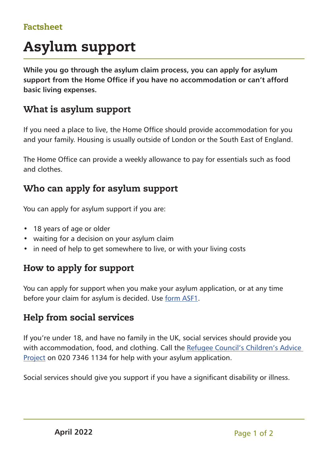## Factsheet

# Asylum support

**While you go through the asylum claim process, you can apply for asylum support from the Home Office if you have no accommodation or can't afford basic living expenses.**

### What is asylum support

If you need a place to live, the Home Office should provide accommodation for you and your family. Housing is usually outside of London or the South East of England.

The Home Office can provide a weekly allowance to pay for essentials such as food and clothes.

### Who can apply for asylum support

You can apply for asylum support if you are:

- 18 years of age or older
- waiting for a decision on your asylum claim
- in need of help to get somewhere to live, or with your living costs

#### How to apply for support

You can apply for support when you make your asylum application, or at any time before your claim for asylum is decided. Use [form ASF1](https://www.gov.uk/government/publications/application-for-asylum-support-form-asf1).

## Help from social services

If you're under 18, and have no family in the UK, social services should provide you with accommodation, food, and clothing. Call the [Refugee Council's Children's Advice](https://www.refugeecouncil.org.uk/projects/childrens-advice-project/)  [Project](https://www.refugeecouncil.org.uk/projects/childrens-advice-project/) on 020 7346 1134 for help with your asylum application.

Social services should give you support if you have a significant disability or illness.